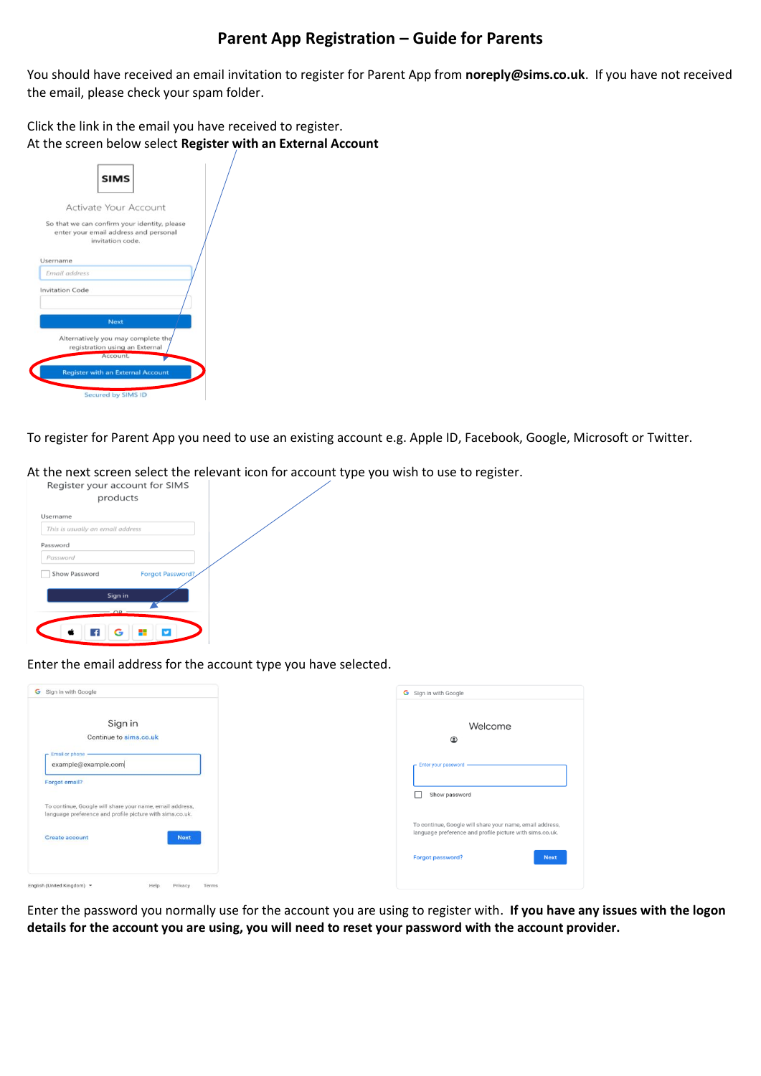## **Parent App Registration – Guide for Parents**

You should have received an email invitation to register for Parent App from **noreply@sims.co.uk**. If you have not received the email, please check your spam folder.

Click the link in the email you have received to register. At the screen below select **Register with an External Account**

| <b>SIMS</b>                                                                                               |  |
|-----------------------------------------------------------------------------------------------------------|--|
| Activate Your Account                                                                                     |  |
| So that we can confirm your identity, please<br>enter your email address and personal<br>invitation code. |  |
| Username                                                                                                  |  |
| Email address                                                                                             |  |
| <b>Invitation Code</b>                                                                                    |  |
| <b>Next</b>                                                                                               |  |
| Alternatively you may complete the<br>registration using an External<br>Account.                          |  |
| <b>Register with an External Account</b>                                                                  |  |
| Secured by SIMS ID                                                                                        |  |

To register for Parent App you need to use an existing account e.g. Apple ID, Facebook, Google, Microsoft or Twitter.

At the next screen select the relevant icon for account type you wish to use to register.

| Register your account for SIMS   |                         |
|----------------------------------|-------------------------|
| products                         |                         |
| Username                         |                         |
| This is usually an email address |                         |
| Password                         |                         |
| Password                         |                         |
| Show Password                    | <b>Forgot Password?</b> |
| Sign in                          |                         |
| ЭR                               |                         |
|                                  |                         |
|                                  |                         |

Enter the email address for the account type you have selected.

| G Sign in with Google                                                                                                | G Sign in with Google                                                                       |
|----------------------------------------------------------------------------------------------------------------------|---------------------------------------------------------------------------------------------|
| Sign in<br>Continue to sims.co.uk                                                                                    | Welcome<br>$\circledcirc$                                                                   |
| $r$ Email or phone $-$<br>example@example.com                                                                        | Enter your password -                                                                       |
| Forgot email?                                                                                                        | Show password                                                                               |
| To continue, Google will share your name, email address,<br>language preference and profile picture with sims.co.uk. | To continue, Google will share your name, email address,                                    |
| Create account<br><b>Next</b>                                                                                        | language preference and profile picture with sims.co.uk.<br>Forgot password?<br><b>Next</b> |
| English (United Kingdom) -<br>Terms:<br>Privacy<br>Help                                                              |                                                                                             |

Enter the password you normally use for the account you are using to register with. **If you have any issues with the logon details for the account you are using, you will need to reset your password with the account provider.**